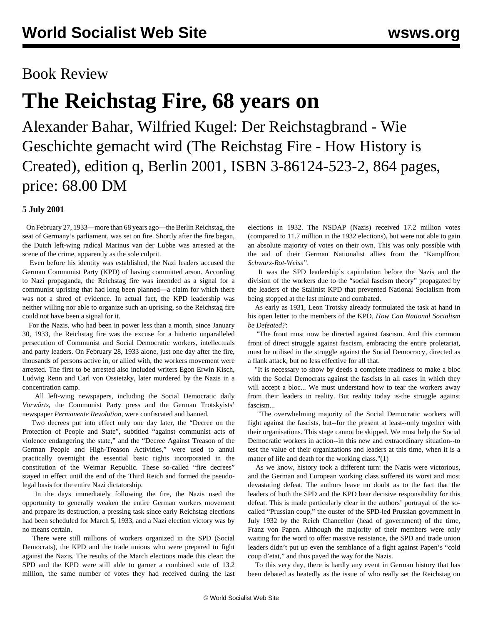## Book Review

# **The Reichstag Fire, 68 years on**

Alexander Bahar, Wilfried Kugel: Der Reichstagbrand - Wie Geschichte gemacht wird (The Reichstag Fire - How History is Created), edition q, Berlin 2001, ISBN 3-86124-523-2, 864 pages, price: 68.00 DM

#### **5 July 2001**

 On February 27, 1933—more than 68 years ago—the Berlin Reichstag, the seat of Germany's parliament, was set on fire. Shortly after the fire began, the Dutch left-wing radical Marinus van der Lubbe was arrested at the scene of the crime, apparently as the sole culprit.

 Even before his identity was established, the Nazi leaders accused the German Communist Party (KPD) of having committed arson. According to Nazi propaganda, the Reichstag fire was intended as a signal for a communist uprising that had long been planned—a claim for which there was not a shred of evidence. In actual fact, the KPD leadership was neither willing nor able to organize such an uprising, so the Reichstag fire could not have been a signal for it.

 For the Nazis, who had been in power less than a month, since January 30, 1933, the Reichstag fire was the excuse for a hitherto unparalleled persecution of Communist and Social Democratic workers, intellectuals and party leaders. On February 28, 1933 alone, just one day after the fire, thousands of persons active in, or allied with, the workers movement were arrested. The first to be arrested also included writers Egon Erwin Kisch, Ludwig Renn and Carl von Ossietzky, later murdered by the Nazis in a concentration camp.

 All left-wing newspapers, including the Social Democratic daily *Vorwärts*, the Communist Party press and the German Trotskyists' newspaper *Permanente Revolution*, were confiscated and banned.

 Two decrees put into effect only one day later, the "Decree on the Protection of People and State", subtitled "against communist acts of violence endangering the state," and the "Decree Against Treason of the German People and High-Treason Activities," were used to annul practically overnight the essential basic rights incorporated in the constitution of the Weimar Republic. These so-called "fire decrees" stayed in effect until the end of the Third Reich and formed the pseudolegal basis for the entire Nazi dictatorship.

 In the days immediately following the fire, the Nazis used the opportunity to generally weaken the entire German workers movement and prepare its destruction, a pressing task since early Reichstag elections had been scheduled for March 5, 1933, and a Nazi election victory was by no means certain.

 There were still millions of workers organized in the SPD (Social Democrats), the KPD and the trade unions who were prepared to fight against the Nazis. The results of the March elections made this clear: the SPD and the KPD were still able to garner a combined vote of 13.2 million, the same number of votes they had received during the last elections in 1932. The NSDAP (Nazis) received 17.2 million votes (compared to 11.7 million in the 1932 elections), but were not able to gain an absolute majority of votes on their own. This was only possible with the aid of their German Nationalist allies from the "Kampffront *Schwarz-Rot-Weiss"*.

 It was the SPD leadership's capitulation before the Nazis and the division of the workers due to the "social fascism theory" propagated by the leaders of the Stalinist KPD that prevented National Socialism from being stopped at the last minute and combated.

 As early as 1931, Leon Trotsky already formulated the task at hand in his open letter to the members of the KPD, *How Can National Socialism be Defeated?*:

 "The front must now be directed against fascism. And this common front of direct struggle against fascism, embracing the entire proletariat, must be utilised in the struggle against the Social Democracy, directed as a flank attack, but no less effective for all that.

 "It is necessary to show by deeds a complete readiness to make a bloc with the Social Democrats against the fascists in all cases in which they will accept a bloc... We must understand how to tear the workers away from their leaders in reality. But reality today is-the struggle against fascism...

 "The overwhelming majority of the Social Democratic workers will fight against the fascists, but--for the present at least--only together with their organisations. This stage cannot be skipped. We must help the Social Democratic workers in action--in this new and extraordinary situation--to test the value of their organizations and leaders at this time, when it is a matter of life and death for the working class."(1)

 As we know, history took a different turn: the Nazis were victorious, and the German and European working class suffered its worst and most devastating defeat. The authors leave no doubt as to the fact that the leaders of both the SPD and the KPD bear decisive responsibility for this defeat. This is made particularly clear in the authors' portrayal of the socalled "Prussian coup," the ouster of the SPD-led Prussian government in July 1932 by the Reich Chancellor (head of government) of the time, Franz von Papen. Although the majority of their members were only waiting for the word to offer massive resistance, the SPD and trade union leaders didn't put up even the semblance of a fight against Papen's "cold coup d'etat," and thus paved the way for the Nazis.

 To this very day, there is hardly any event in German history that has been debated as heatedly as the issue of who really set the Reichstag on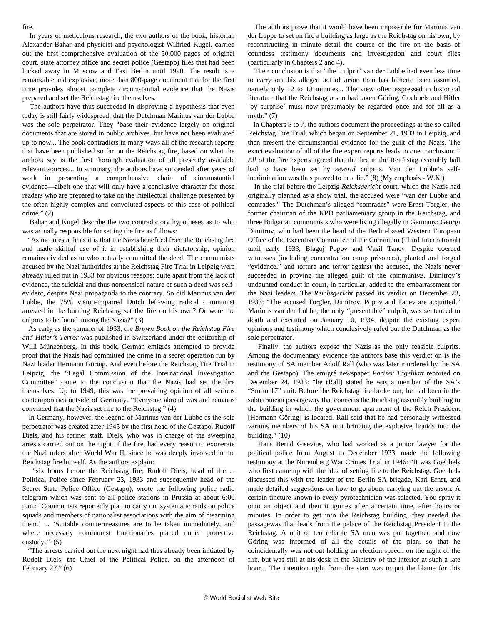#### fire.

 In years of meticulous research, the two authors of the book, historian Alexander Bahar and physicist and psychologist Wilfried Kugel, carried out the first comprehensive evaluation of the 50,000 pages of original court, state attorney office and secret police (Gestapo) files that had been locked away in Moscow and East Berlin until 1990. The result is a remarkable and explosive, more than 800-page document that for the first time provides almost complete circumstantial evidence that the Nazis prepared and set the Reichstag fire themselves.

 The authors have thus succeeded in disproving a hypothesis that even today is still fairly widespread: that the Dutchman Marinus van der Lubbe was the sole perpetrator. They "base their evidence largely on original documents that are stored in public archives, but have not been evaluated up to now... The book contradicts in many ways all of the research reports that have been published so far on the Reichstag fire, based on what the authors say is the first thorough evaluation of all presently available relevant sources... In summary, the authors have succeeded after years of work in presenting a comprehensive chain of circumstantial evidence—albeit one that will only have a conclusive character for those readers who are prepared to take on the intellectual challenge presented by the often highly complex and convoluted aspects of this case of political crime." $(2)$ 

 Bahar and Kugel describe the two contradictory hypotheses as to who was actually responsible for setting the fire as follows:

 "As incontestable as it is that the Nazis benefited from the Reichstag fire and made skillful use of it in establishing their dictatorship, opinion remains divided as to who actually committed the deed. The communists accused by the Nazi authorities at the Reichstag Fire Trial in Leipzig were already ruled out in 1933 for obvious reasons: quite apart from the lack of evidence, the suicidal and thus nonsensical nature of such a deed was selfevident, despite Nazi propaganda to the contrary. So did Marinus van der Lubbe, the 75% vision-impaired Dutch left-wing radical communist arrested in the burning Reichstag set the fire on his own? Or were the culprits to be found among the Nazis?" (3)

 As early as the summer of 1933, the *Brown Book on the Reichstag Fire and Hitler's Terror* was published in Switzerland under the editorship of Willi Münzenberg. In this book, German emigrés attempted to provide proof that the Nazis had committed the crime in a secret operation run by Nazi leader Hermann Göring. And even before the Reichstag Fire Trial in Leipzig, the "Legal Commission of the International Investigation Committee" came to the conclusion that the Nazis had set the fire themselves. Up to 1949, this was the prevailing opinion of all serious contemporaries outside of Germany. "Everyone abroad was and remains convinced that the Nazis set fire to the Reichstag." (4)

 In Germany, however, the legend of Marinus van der Lubbe as the sole perpetrator was created after 1945 by the first head of the Gestapo, Rudolf Diels, and his former staff. Diels, who was in charge of the sweeping arrests carried out on the night of the fire, had every reason to exonerate the Nazi rulers after World War II, since he was deeply involved in the Reichstag fire himself. As the authors explain:

 "six hours before the Reichstag fire, Rudolf Diels, head of the ... Political Police since February 23, 1933 and subsequently head of the Secret State Police Office (Gestapo), wrote the following police radio telegram which was sent to all police stations in Prussia at about 6:00 p.m.: 'Communists reportedly plan to carry out systematic raids on police squads and members of nationalist associations with the aim of disarming them.' ... 'Suitable countermeasures are to be taken immediately, and where necessary communist functionaries placed under protective custody.'" (5)

 "The arrests carried out the next night had thus already been initiated by Rudolf Diels, the Chief of the Political Police, on the afternoon of February 27." (6)

 The authors prove that it would have been impossible for Marinus van der Luppe to set on fire a building as large as the Reichstag on his own, by reconstructing in minute detail the course of the fire on the basis of countless testimony documents and investigation and court files (particularly in Chapters 2 and 4).

 Their conclusion is that "the 'culprit' van der Lubbe had even less time to carry out his alleged act of arson than has hitherto been assumed, namely only 12 to 13 minutes... The view often expressed in historical literature that the Reichstag arson had taken Göring, Goebbels and Hitler 'by surprise' must now presumably be regarded once and for all as a myth." $(7)$ 

 In Chapters 5 to 7, the authors document the proceedings at the so-called Reichstag Fire Trial, which began on September 21, 1933 in Leipzig, and then present the circumstantial evidence for the guilt of the Nazis. The exact evaluation of all of the fire expert reports leads to one conclusion: " *All* of the fire experts agreed that the fire in the Reichstag assembly hall had to have been set by *several* culprits. Van der Lubbe's selfincrimination was thus proved to be a lie." (8) (My emphasis - W.K.)

 In the trial before the Leipzig *Reichsgericht* court, which the Nazis had originally planned as a show trial, the accused were "van der Lubbe and comrades." The Dutchman's alleged "comrades" were Ernst Torgler, the former chairman of the KPD parliamentary group in the Reichstag, and three Bulgarian communists who were living illegally in Germany: Georgi Dimitrov, who had been the head of the Berlin-based Western European Office of the Executive Committee of the Comintern (Third International) until early 1933, Blagoj Popov and Vasil Tanev. Despite coerced witnesses (including concentration camp prisoners), planted and forged "evidence," and torture and terror against the accused, the Nazis never succeeded in proving the alleged guilt of the communists. Dimitrov's undaunted conduct in court, in particular, added to the embarrassment for the Nazi leaders. The *Reichsgericht* passed its verdict on December 23, 1933: "The accused Torgler, Dimitrov, Popov and Tanev are acquitted." Marinus van der Lubbe, the only "presentable" culprit, was sentenced to death and executed on January 10, 1934, despite the existing expert opinions and testimony which conclusively ruled out the Dutchman as the sole perpetrator.

 Finally, the authors expose the Nazis as the only feasible culprits. Among the documentary evidence the authors base this verdict on is the testimony of SA member Adolf Rall (who was later murdered by the SA and the Gestapo). The emigré newspaper *Pariser Tageblatt* reported on December 24, 1933: "he (Rall) stated he was a member of the SA's "Sturm 17" unit. Before the Reichstag fire broke out, he had been in the subterranean passageway that connects the Reichstag assembly building to the building in which the government apartment of the Reich President [Hermann Göring] is located. Rall said that he had personally witnessed various members of his SA unit bringing the explosive liquids into the building." (10)

 Hans Bernd Gisevius, who had worked as a junior lawyer for the political police from August to December 1933, made the following testimony at the Nuremberg War Crimes Trial in 1946: "It was Goebbels who first came up with the idea of setting fire to the Reichstag. Goebbels discussed this with the leader of the Berlin SA brigade, Karl Ernst, and made detailed suggestions on how to go about carrying out the arson. A certain tincture known to every pyrotechnician was selected. You spray it onto an object and then it ignites after a certain time, after hours or minutes. In order to get into the Reichstag building, they needed the passageway that leads from the palace of the Reichstag President to the Reichstag. A unit of ten reliable SA men was put together, and now Göring was informed of all the details of the plan, so that he coincidentally was not out holding an election speech on the night of the fire, but was still at his desk in the Ministry of the Interior at such a late hour... The intention right from the start was to put the blame for this